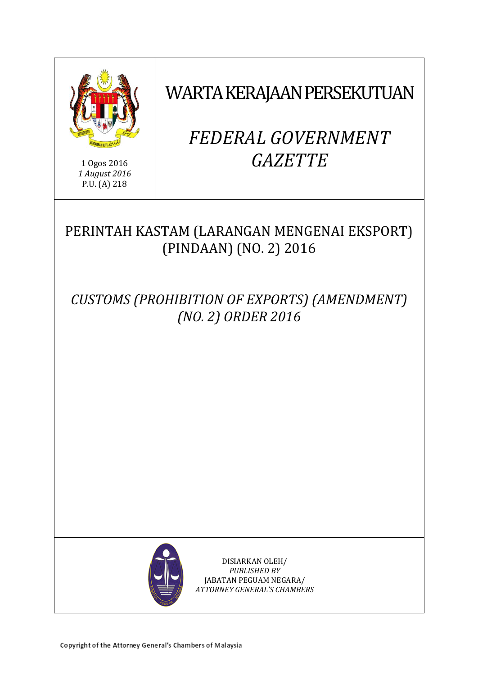

1 Ogos 2016 *1 August 2016* P.U. (A) 218

WARTA KERAJAAN PERSEKUTUAN

# *FEDERAL GOVERNMENT GAZETTE*

# PERINTAH KASTAM (LARANGAN MENGENAI EKSPORT) (PINDAAN) (NO. 2) 2016

*CUSTOMS (PROHIBITION OF EXPORTS) (AMENDMENT) (NO. 2) ORDER 2016*



DISIARKAN OLEH/ *PUBLISHED BY* JABATAN PEGUAM NEGARA/ *ATTORNEY GENERAL'S CHAMBERS*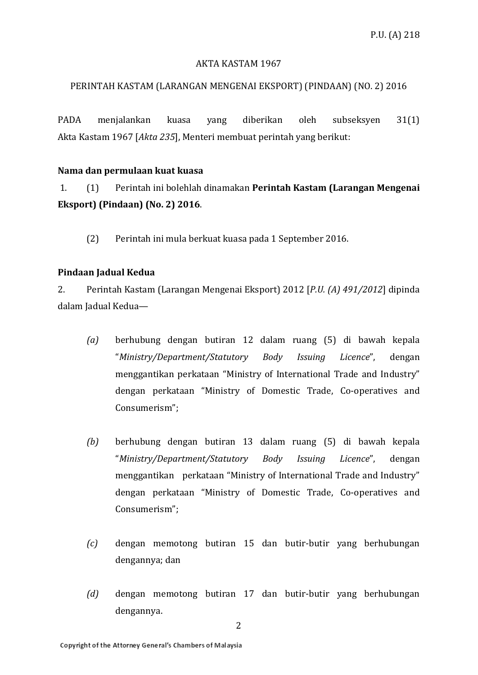### AKTA KASTAM 1967

## PERINTAH KASTAM (LARANGAN MENGENAI EKSPORT) (PINDAAN) (NO. 2) 2016

PADA menjalankan kuasa yang diberikan oleh subseksyen 31(1) Akta Kastam 1967 [*Akta 235*], Menteri membuat perintah yang berikut:

#### **Nama dan permulaan kuat kuasa**

1. (1) Perintah ini bolehlah dinamakan **Perintah Kastam (Larangan Mengenai Eksport) (Pindaan) (No. 2) 2016**.

(2) Perintah ini mula berkuat kuasa pada 1 September 2016.

### **Pindaan Jadual Kedua**

2. Perintah Kastam (Larangan Mengenai Eksport) 2012 [*P.U. (A) 491/2012*] dipinda dalam Jadual Kedua—

- *(a)* berhubung dengan butiran 12 dalam ruang (5) di bawah kepala "*Ministry/Department/Statutory Body Issuing Licence*", dengan menggantikan perkataan "Ministry of International Trade and Industry" dengan perkataan "Ministry of Domestic Trade, Co-operatives and Consumerism";
- *(b)* berhubung dengan butiran 13 dalam ruang (5) di bawah kepala "*Ministry/Department/Statutory Body Issuing Licence*", dengan menggantikan perkataan "Ministry of International Trade and Industry" dengan perkataan "Ministry of Domestic Trade, Co-operatives and Consumerism";
- *(c)* dengan memotong butiran 15 dan butir-butir yang berhubungan dengannya; dan
- *(d)* dengan memotong butiran 17 dan butir-butir yang berhubungan dengannya.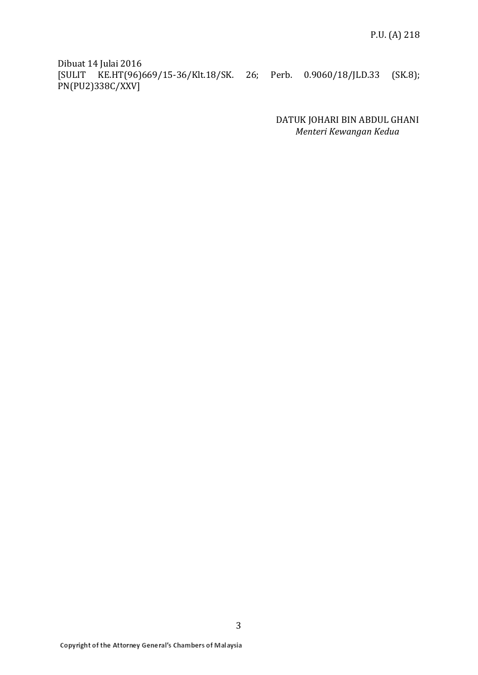Dibuat 14 Julai 2016 [SULIT KE.HT(96)669/15-36/Klt.18/SK. 26; Perb. 0.9060/18/JLD.33 (SK.8); PN(PU2)338C/XXV]

> DATUK JOHARI BIN ABDUL GHANI *Menteri Kewangan Kedua*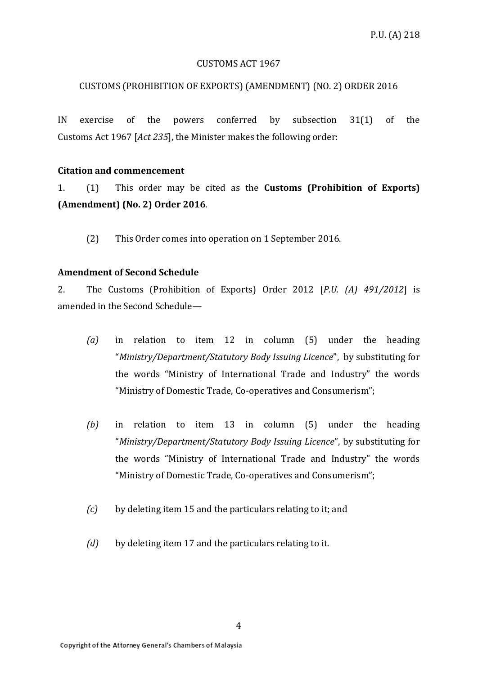#### CUSTOMS ACT 1967

#### CUSTOMS (PROHIBITION OF EXPORTS) (AMENDMENT) (NO. 2) ORDER 2016

IN exercise of the powers conferred by subsection 31(1) of the Customs Act 1967 [*Act 235*], the Minister makes the following order:

#### **Citation and commencement**

1. (1) This order may be cited as the **Customs (Prohibition of Exports) (Amendment) (No. 2) Order 2016**.

(2) This Order comes into operation on 1 September 2016.

#### **Amendment of Second Schedule**

2. The Customs (Prohibition of Exports) Order 2012 [*P.U. (A) 491/2012*] is amended in the Second Schedule—

- *(a)* in relation to item 12 in column (5) under the heading "*Ministry/Department/Statutory Body Issuing Licence*", by substituting for the words "Ministry of International Trade and Industry" the words "Ministry of Domestic Trade, Co-operatives and Consumerism";
- *(b)* in relation to item 13 in column (5) under the heading "*Ministry/Department/Statutory Body Issuing Licence*", by substituting for the words "Ministry of International Trade and Industry" the words "Ministry of Domestic Trade, Co-operatives and Consumerism";
- *(c)* by deleting item 15 and the particulars relating to it; and
- *(d)* by deleting item 17 and the particulars relating to it.